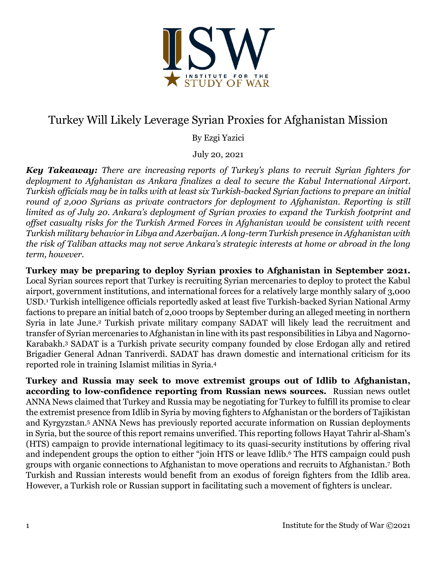

## Turkey Will Likely Leverage Syrian Proxies for Afghanistan Mission

By Ezgi Yazici

July 20, 2021

*Key Takeaway: There are increasing reports of Turkey's plans to recruit Syrian fighters for deployment to Afghanistan as Ankara finalizes a deal to secure the Kabul International Airport. Turkish officials may be in talks with at least six Turkish-backed Syrian factions to prepare an initial round of 2,000 Syrians as private contractors for deployment to Afghanistan. Reporting is still limited as of July 20. Ankara's deployment of Syrian proxies to expand the Turkish footprint and offset casualty risks for the Turkish Armed Forces in Afghanistan would be consistent with recent Turkish military behavior in Libya and Azerbaijan. A long-term Turkish presence in Afghanistan with the risk of Taliban attacks may not serve Ankara's strategic interests at home or abroad in the long term, however.*

**Turkey may be preparing to deploy Syrian proxies to Afghanistan in September 2021.**  Local Syrian sources report that Turkey is recruiting Syrian mercenaries to deploy to protect the Kabul airport, government institutions, and international forces for a relatively large monthly salary of 3,000 USD.1 Turkish intelligence officials reportedly asked at least five Turkish-backed Syrian National Army factions to prepare an initial batch of 2,000 troops by September during an alleged meeting in northern Syria in late June.<sup>2</sup> Turkish private military company SADAT will likely lead the recruitment and transfer of Syrian mercenaries to Afghanistan in line with its past responsibilities in Libya and Nagorno-Karabakh.3 SADAT is a Turkish private security company founded by close Erdogan ally and retired Brigadier General Adnan Tanriverdi. SADAT has drawn domestic and international criticism for its reported role in training Islamist militias in Syria.4

**Turkey and Russia may seek to move extremist groups out of Idlib to Afghanistan, according to low-confidence reporting from Russian news sources.** Russian news outlet ANNA News claimed that Turkey and Russia may be negotiating for Turkey to fulfill its promise to clear the extremist presence from Idlib in Syria by moving fighters to Afghanistan or the borders of Tajikistan and Kyrgyzstan.5 ANNA News has previously reported accurate information on Russian deployments in Syria, but the source of this report remains unverified. This reporting follows Hayat Tahrir al-Sham's (HTS) campaign to provide international legitimacy to its quasi-security institutions by offering rival and independent groups the option to either "join HTS or leave Idlib.6 The HTS campaign could push groups with organic connections to Afghanistan to move operations and recruits to Afghanistan.7 Both Turkish and Russian interests would benefit from an exodus of foreign fighters from the Idlib area. However, a Turkish role or Russian support in facilitating such a movement of fighters is unclear.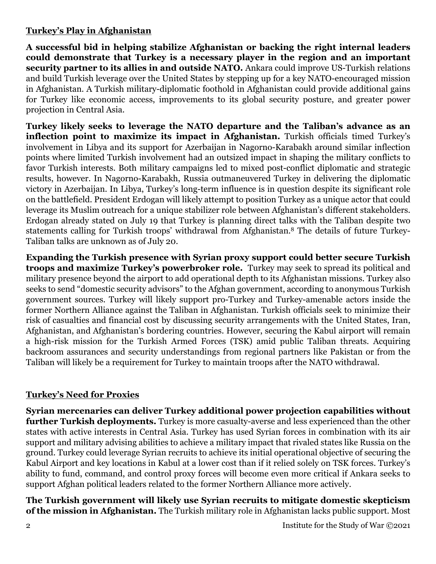## **Turkey's Play in Afghanistan**

**A successful bid in helping stabilize Afghanistan or backing the right internal leaders could demonstrate that Turkey is a necessary player in the region and an important security partner to its allies in and outside NATO.** Ankara could improve US-Turkish relations and build Turkish leverage over the United States by stepping up for a key NATO-encouraged mission in Afghanistan. A Turkish military-diplomatic foothold in Afghanistan could provide additional gains for Turkey like economic access, improvements to its global security posture, and greater power projection in Central Asia.

**Turkey likely seeks to leverage the NATO departure and the Taliban's advance as an**  inflection point to maximize its impact in Afghanistan. Turkish officials timed Turkey's involvement in Libya and its support for Azerbaijan in Nagorno-Karabakh around similar inflection points where limited Turkish involvement had an outsized impact in shaping the military conflicts to favor Turkish interests. Both military campaigns led to mixed post-conflict diplomatic and strategic results, however. In Nagorno-Karabakh, Russia outmaneuvered Turkey in delivering the diplomatic victory in Azerbaijan. In Libya, Turkey's long-term influence is in question despite its significant role on the battlefield. President Erdogan will likely attempt to position Turkey as a unique actor that could leverage its Muslim outreach for a unique stabilizer role between Afghanistan's different stakeholders. Erdogan already stated on July 19 that Turkey is planning direct talks with the Taliban despite two statements calling for Turkish troops' withdrawal from Afghanistan.8 The details of future Turkey-Taliban talks are unknown as of July 20.

**Expanding the Turkish presence with Syrian proxy support could better secure Turkish troops and maximize Turkey's powerbroker role.** Turkey may seek to spread its political and military presence beyond the airport to add operational depth to its Afghanistan missions. Turkey also seeks to send "domestic security advisors" to the Afghan government, according to anonymous Turkish government sources. Turkey will likely support pro-Turkey and Turkey-amenable actors inside the former Northern Alliance against the Taliban in Afghanistan. Turkish officials seek to minimize their risk of casualties and financial cost by discussing security arrangements with the United States, Iran, Afghanistan, and Afghanistan's bordering countries. However, securing the Kabul airport will remain a high-risk mission for the Turkish Armed Forces (TSK) amid public Taliban threats. Acquiring backroom assurances and security understandings from regional partners like Pakistan or from the Taliban will likely be a requirement for Turkey to maintain troops after the NATO withdrawal.

## **Turkey's Need for Proxies**

**Syrian mercenaries can deliver Turkey additional power projection capabilities without further Turkish deployments.** Turkey is more casualty-averse and less experienced than the other states with active interests in Central Asia. Turkey has used Syrian forces in combination with its air support and military advising abilities to achieve a military impact that rivaled states like Russia on the ground. Turkey could leverage Syrian recruits to achieve its initial operational objective of securing the Kabul Airport and key locations in Kabul at a lower cost than if it relied solely on TSK forces. Turkey's ability to fund, command, and control proxy forces will become even more critical if Ankara seeks to support Afghan political leaders related to the former Northern Alliance more actively.

**The Turkish government will likely use Syrian recruits to mitigate domestic skepticism of the mission in Afghanistan.** The Turkish military role in Afghanistan lacks public support. Most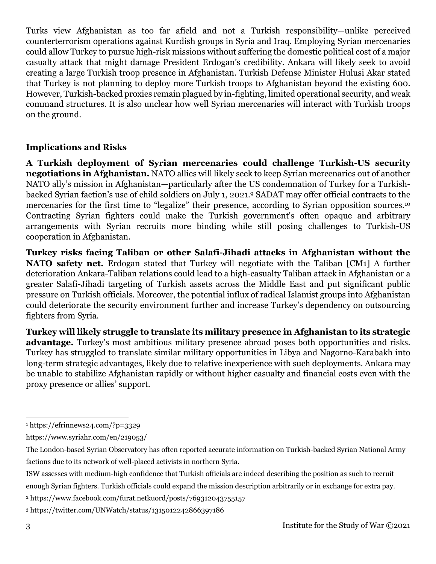Turks view Afghanistan as too far afield and not a Turkish responsibility—unlike perceived counterterrorism operations against Kurdish groups in Syria and Iraq. Employing Syrian mercenaries could allow Turkey to pursue high-risk missions without suffering the domestic political cost of a major casualty attack that might damage President Erdogan's credibility. Ankara will likely seek to avoid creating a large Turkish troop presence in Afghanistan. Turkish Defense Minister Hulusi Akar stated that Turkey is not planning to deploy more Turkish troops to Afghanistan beyond the existing 600. However, Turkish-backed proxies remain plagued by in-fighting, limited operational security, and weak command structures. It is also unclear how well Syrian mercenaries will interact with Turkish troops on the ground.

## **Implications and Risks**

**A Turkish deployment of Syrian mercenaries could challenge Turkish-US security negotiations in Afghanistan.** NATO allies will likely seek to keep Syrian mercenaries out of another NATO ally's mission in Afghanistan—particularly after the US condemnation of Turkey for a Turkishbacked Syrian faction's use of child soldiers on July 1, 2021.9 SADAT may offer official contracts to the mercenaries for the first time to "legalize" their presence, according to Syrian opposition sources.10 Contracting Syrian fighters could make the Turkish government's often opaque and arbitrary arrangements with Syrian recruits more binding while still posing challenges to Turkish-US cooperation in Afghanistan.

**Turkey risks facing Taliban or other Salafi-Jihadi attacks in Afghanistan without the NATO safety net.** Erdogan stated that Turkey will negotiate with the Taliban [CM1] A further deterioration Ankara-Taliban relations could lead to a high-casualty Taliban attack in Afghanistan or a greater Salafi-Jihadi targeting of Turkish assets across the Middle East and put significant public pressure on Turkish officials. Moreover, the potential influx of radical Islamist groups into Afghanistan could deteriorate the security environment further and increase Turkey's dependency on outsourcing fighters from Syria.

**Turkey will likely struggle to translate its military presence in Afghanistan to its strategic advantage.** Turkey's most ambitious military presence abroad poses both opportunities and risks. Turkey has struggled to translate similar military opportunities in Libya and Nagorno-Karabakh into long-term strategic advantages, likely due to relative inexperience with such deployments. Ankara may be unable to stabilize Afghanistan rapidly or without higher casualty and financial costs even with the proxy presence or allies' support.

<sup>2</sup> https://www.facebook.com/furat.netkuord/posts/769312043755157

<sup>3</sup> https://twitter.com/UNWatch/status/1315012242866397186

<sup>1</sup> https://efrinnews24.com/?p=3329

https://www.syriahr.com/en/219053/

The London-based Syrian Observatory has often reported accurate information on Turkish-backed Syrian National Army factions due to its network of well-placed activists in northern Syria.

ISW assesses with medium-high confidence that Turkish officials are indeed describing the position as such to recruit enough Syrian fighters. Turkish officials could expand the mission description arbitrarily or in exchange for extra pay.